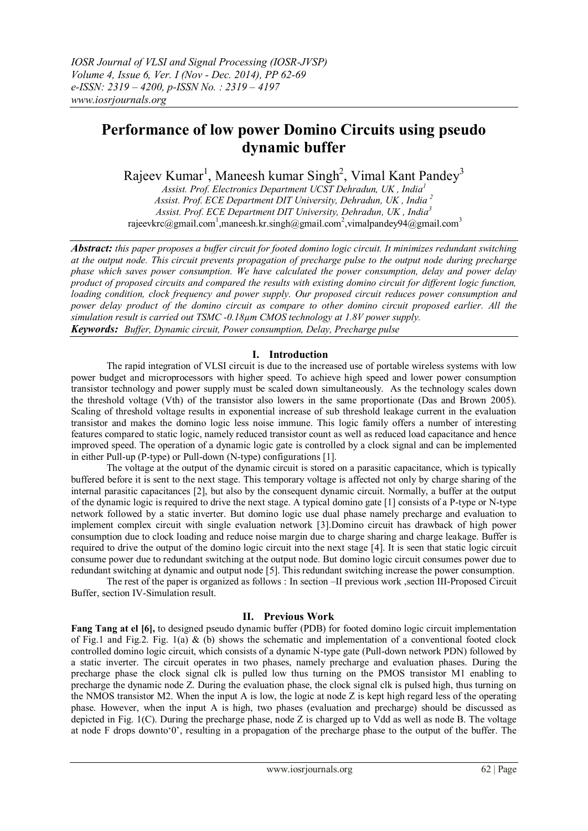# **Performance of low power Domino Circuits using pseudo dynamic buffer**

Rajeev Kumar<sup>1</sup>, Maneesh kumar Singh<sup>2</sup>, Vimal Kant Pandey<sup>3</sup>

*Assist. Prof. Electronics Department UCST Dehradun, UK , India<sup>1</sup> Assist. Prof. ECE Department DIT University, Dehradun, UK , India <sup>2</sup> Assist. Prof. ECE Department DIT University, Dehradun, UK , India<sup>3</sup>* rajeevkrc@gmail.com<sup>1</sup>,maneesh.kr.singh@gmail.com<sup>2</sup>,vimalpandey94@gmail.com<sup>3</sup>

*Abstract: this paper proposes a buffer circuit for footed domino logic circuit. It minimizes redundant switching at the output node. This circuit prevents propagation of precharge pulse to the output node during precharge phase which saves power consumption. We have calculated the power consumption, delay and power delay product of proposed circuits and compared the results with existing domino circuit for different logic function, loading condition, clock frequency and power supply. Our proposed circuit reduces power consumption and power delay product of the domino circuit as compare to other domino circuit proposed earlier. All the simulation result is carried out TSMC -0.18µm CMOS technology at 1.8V power supply. Keywords: Buffer, Dynamic circuit, Power consumption, Delay, Precharge pulse*

## **I. Introduction**

The rapid integration of VLSI circuit is due to the increased use of portable wireless systems with low power budget and microprocessors with higher speed. To achieve high speed and lower power consumption transistor technology and power supply must be scaled down simultaneously. As the technology scales down the threshold voltage (Vth) of the transistor also lowers in the same proportionate (Das and Brown 2005). Scaling of threshold voltage results in exponential increase of sub threshold leakage current in the evaluation transistor and makes the domino logic less noise immune. This logic family offers a number of interesting features compared to static logic, namely reduced transistor count as well as reduced load capacitance and hence improved speed. The operation of a dynamic logic gate is controlled by a clock signal and can be implemented in either Pull-up (P-type) or Pull-down (N-type) configurations [1].

The voltage at the output of the dynamic circuit is stored on a parasitic capacitance, which is typically buffered before it is sent to the next stage. This temporary voltage is affected not only by charge sharing of the internal parasitic capacitances [2], but also by the consequent dynamic circuit. Normally, a buffer at the output of the dynamic logic is required to drive the next stage. A typical domino gate [1] consists of a P-type or N-type network followed by a static inverter. But domino logic use dual phase namely precharge and evaluation to implement complex circuit with single evaluation network [3].Domino circuit has drawback of high power consumption due to clock loading and reduce noise margin due to charge sharing and charge leakage. Buffer is required to drive the output of the domino logic circuit into the next stage [4]. It is seen that static logic circuit consume power due to redundant switching at the output node. But domino logic circuit consumes power due to redundant switching at dynamic and output node [5]. This redundant switching increase the power consumption.

The rest of the paper is organized as follows : In section –II previous work ,section III-Proposed Circuit Buffer, section IV-Simulation result.

## **II. Previous Work**

**Fang Tang at el [6],** to designed pseudo dynamic buffer (PDB) for footed domino logic circuit implementation of Fig.1 and Fig.2. Fig. 1(a) & (b) shows the schematic and implementation of a conventional footed clock controlled domino logic circuit, which consists of a dynamic N-type gate (Pull-down network PDN) followed by a static inverter. The circuit operates in two phases, namely precharge and evaluation phases. During the precharge phase the clock signal clk is pulled low thus turning on the PMOS transistor M1 enabling to precharge the dynamic node Z. During the evaluation phase, the clock signal clk is pulsed high, thus turning on the NMOS transistor M2. When the input A is low, the logic at node Z is kept high regard less of the operating phase. However, when the input A is high, two phases (evaluation and precharge) should be discussed as depicted in Fig. 1(C). During the precharge phase, node Z is charged up to Vdd as well as node B. The voltage at node F drops downto"0", resulting in a propagation of the precharge phase to the output of the buffer. The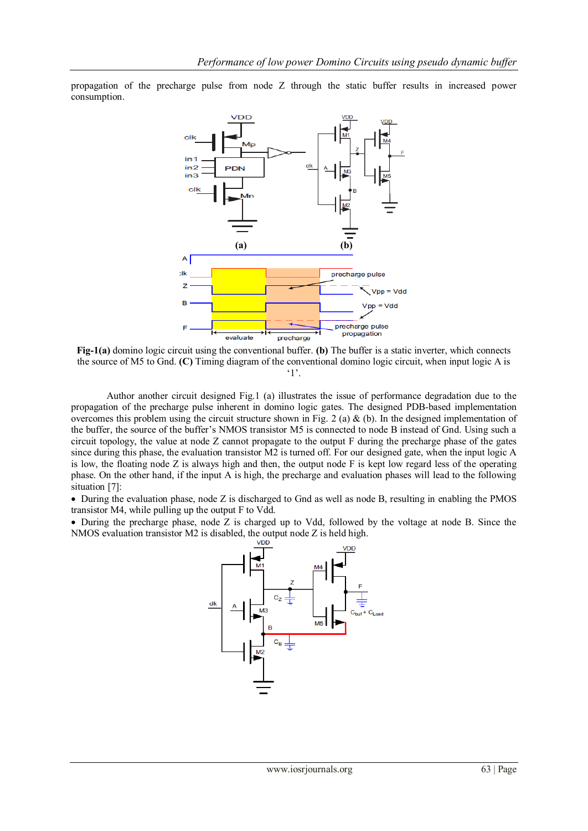propagation of the precharge pulse from node Z through the static buffer results in increased power consumption.



**Fig-1(a)** domino logic circuit using the conventional buffer. **(b)** The buffer is a static inverter, which connects the source of M5 to Gnd. **(C)** Timing diagram of the conventional domino logic circuit, when input logic A is  $^{\circ}1$ .

Author another circuit designed Fig.1 (a) illustrates the issue of performance degradation due to the propagation of the precharge pulse inherent in domino logic gates. The designed PDB-based implementation overcomes this problem using the circuit structure shown in Fig. 2 (a) & (b). In the designed implementation of the buffer, the source of the buffer"s NMOS transistor M5 is connected to node B instead of Gnd. Using such a circuit topology, the value at node Z cannot propagate to the output F during the precharge phase of the gates since during this phase, the evaluation transistor M2 is turned off. For our designed gate, when the input logic A is low, the floating node Z is always high and then, the output node F is kept low regard less of the operating phase. On the other hand, if the input A is high, the precharge and evaluation phases will lead to the following situation [7]:

 During the evaluation phase, node Z is discharged to Gnd as well as node B, resulting in enabling the PMOS transistor M4, while pulling up the output F to Vdd.

 During the precharge phase, node Z is charged up to Vdd, followed by the voltage at node B. Since the NMOS evaluation transistor M2 is disabled, the output node Z is held high.

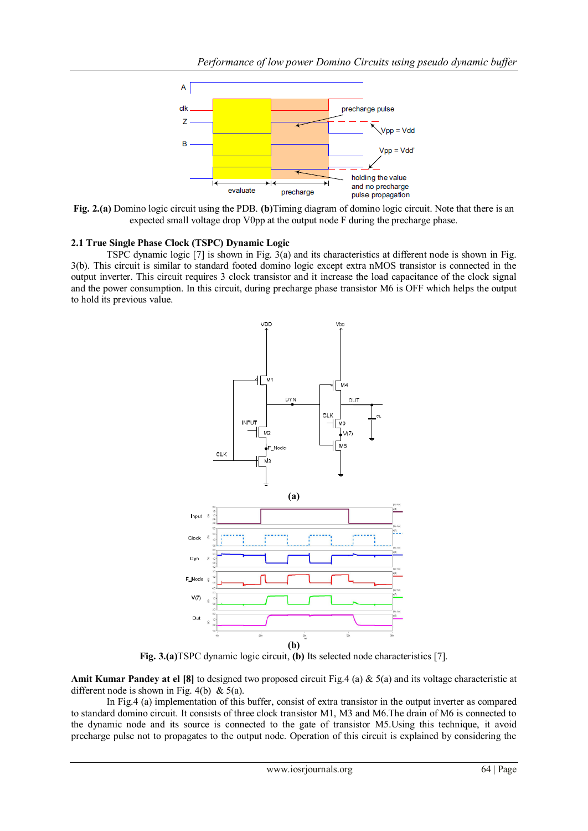

**Fig. 2.(a)** Domino logic circuit using the PDB. **(b)**Timing diagram of domino logic circuit. Note that there is an expected small voltage drop V0pp at the output node F during the precharge phase.

## **2.1 True Single Phase Clock (TSPC) Dynamic Logic**

TSPC dynamic logic [7] is shown in Fig. 3(a) and its characteristics at different node is shown in Fig. 3(b). This circuit is similar to standard footed domino logic except extra nMOS transistor is connected in the output inverter. This circuit requires 3 clock transistor and it increase the load capacitance of the clock signal and the power consumption. In this circuit, during precharge phase transistor M6 is OFF which helps the output to hold its previous value.



**Fig. 3.(a)**TSPC dynamic logic circuit, **(b)** Its selected node characteristics [7].

**Amit Kumar Pandey at el [8]** to designed two proposed circuit Fig.4 (a) & 5(a) and its voltage characteristic at different node is shown in Fig. 4(b) & 5(a).

In Fig.4 (a) implementation of this buffer, consist of extra transistor in the output inverter as compared to standard domino circuit. It consists of three clock transistor M1, M3 and M6.The drain of M6 is connected to the dynamic node and its source is connected to the gate of transistor M5.Using this technique, it avoid precharge pulse not to propagates to the output node. Operation of this circuit is explained by considering the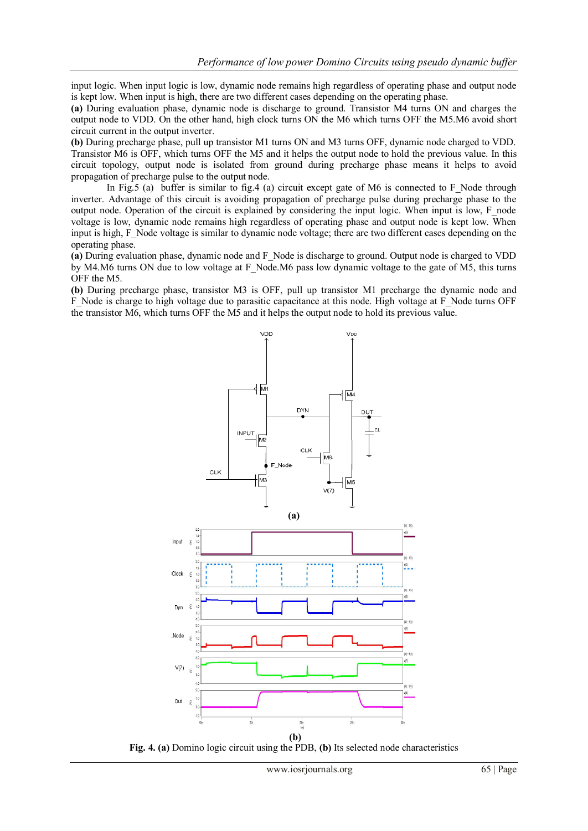input logic. When input logic is low, dynamic node remains high regardless of operating phase and output node is kept low. When input is high, there are two different cases depending on the operating phase.

**(a)** During evaluation phase, dynamic node is discharge to ground. Transistor M4 turns ON and charges the output node to VDD. On the other hand, high clock turns ON the M6 which turns OFF the M5.M6 avoid short circuit current in the output inverter.

**(b)** During precharge phase, pull up transistor M1 turns ON and M3 turns OFF, dynamic node charged to VDD. Transistor M6 is OFF, which turns OFF the M5 and it helps the output node to hold the previous value. In this circuit topology, output node is isolated from ground during precharge phase means it helps to avoid propagation of precharge pulse to the output node.

In Fig.5 (a) buffer is similar to fig.4 (a) circuit except gate of  $M6$  is connected to F\_Node through inverter. Advantage of this circuit is avoiding propagation of precharge pulse during precharge phase to the output node. Operation of the circuit is explained by considering the input logic. When input is low, F\_node voltage is low, dynamic node remains high regardless of operating phase and output node is kept low. When input is high, F\_Node voltage is similar to dynamic node voltage; there are two different cases depending on the operating phase.

**(a)** During evaluation phase, dynamic node and F\_Node is discharge to ground. Output node is charged to VDD by M4.M6 turns ON due to low voltage at F\_Node.M6 pass low dynamic voltage to the gate of M5, this turns OFF the M5.

**(b)** During precharge phase, transistor M3 is OFF, pull up transistor M1 precharge the dynamic node and F\_Node is charge to high voltage due to parasitic capacitance at this node. High voltage at F\_Node turns OFF the transistor M6, which turns OFF the M5 and it helps the output node to hold its previous value.



**Fig. 4. (a)** Domino logic circuit using the PDB, **(b)** Its selected node characteristics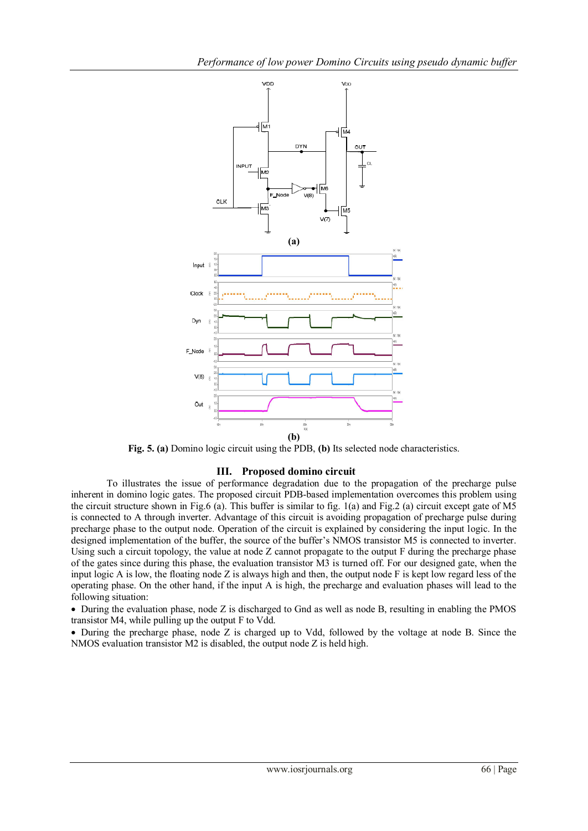

**Fig. 5. (a)** Domino logic circuit using the PDB, **(b)** Its selected node characteristics.

## **III. Proposed domino circuit**

To illustrates the issue of performance degradation due to the propagation of the precharge pulse inherent in domino logic gates. The proposed circuit PDB-based implementation overcomes this problem using the circuit structure shown in Fig.6 (a). This buffer is similar to fig. 1(a) and Fig.2 (a) circuit except gate of M5 is connected to A through inverter. Advantage of this circuit is avoiding propagation of precharge pulse during precharge phase to the output node. Operation of the circuit is explained by considering the input logic. In the designed implementation of the buffer, the source of the buffer"s NMOS transistor M5 is connected to inverter. Using such a circuit topology, the value at node Z cannot propagate to the output F during the precharge phase of the gates since during this phase, the evaluation transistor M3 is turned off. For our designed gate, when the input logic A is low, the floating node Z is always high and then, the output node F is kept low regard less of the operating phase. On the other hand, if the input A is high, the precharge and evaluation phases will lead to the following situation:

 During the evaluation phase, node Z is discharged to Gnd as well as node B, resulting in enabling the PMOS transistor M4, while pulling up the output F to Vdd.

 During the precharge phase, node Z is charged up to Vdd, followed by the voltage at node B. Since the NMOS evaluation transistor M2 is disabled, the output node Z is held high.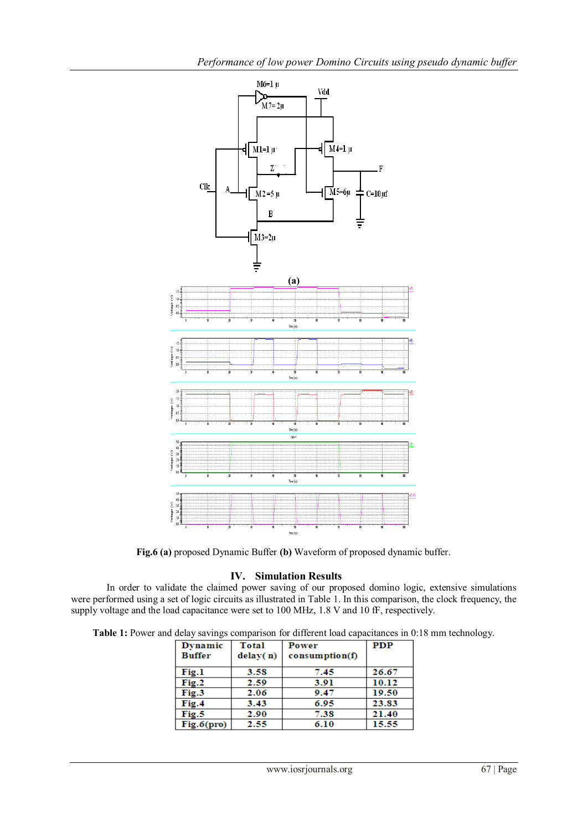

**Fig.6 (a)** proposed Dynamic Buffer **(b)** Waveform of proposed dynamic buffer.

## **IV. Simulation Results**

In order to validate the claimed power saving of our proposed domino logic, extensive simulations were performed using a set of logic circuits as illustrated in Table 1. In this comparison, the clock frequency, the supply voltage and the load capacitance were set to 100 MHz, 1.8 V and 10 fF, respectively.

**Table 1:** Power and delay savings comparison for different load capacitances in 0:18 mm technology.

| Dynamic<br><b>Buffer</b> | Total<br>delay(n) | Power<br>consumption(f) | <b>PDP</b> |
|--------------------------|-------------------|-------------------------|------------|
| Fig.1                    | 3.58              | 7.45                    | 26.67      |
| Fig.2                    | 2.59              | 3.91                    | 10.12      |
| Fig.3                    | 2.06              | 9.47                    | 19.50      |
| Fig.4                    | 3.43              | 6.95                    | 23.83      |
| Fig.5                    | 2.90              | 7.38                    | 21.40      |
| Fig.6(pro)               | 2.55              | 6.10                    | 15.55      |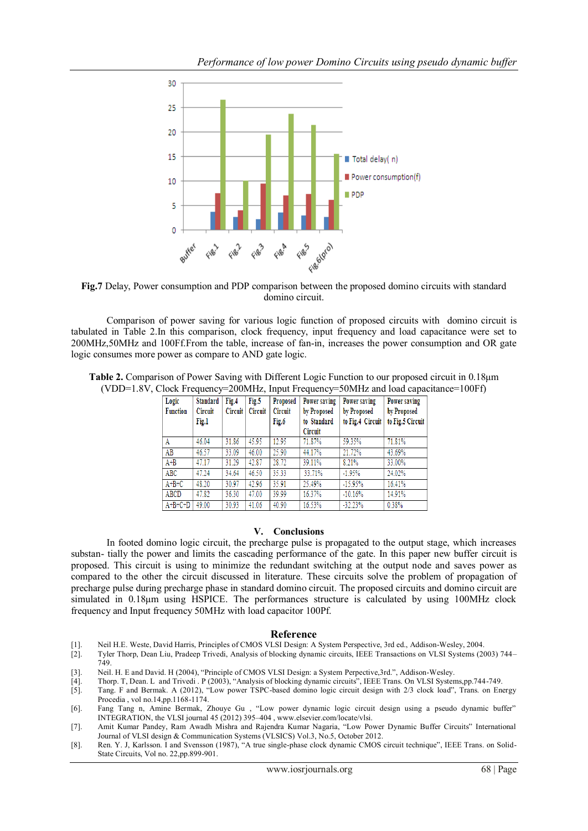

**Fig.7** Delay, Power consumption and PDP comparison between the proposed domino circuits with standard domino circuit.

Comparison of power saving for various logic function of proposed circuits with domino circuit is tabulated in Table 2.In this comparison, clock frequency, input frequency and load capacitance were set to 200MHz,50MHz and 100Ff.From the table, increase of fan-in, increases the power consumption and OR gate logic consumes more power as compare to AND gate logic.

| Table 2. Comparison of Power Saving with Different Logic Function to our proposed circuit in 0.18µm |  |  |  |  |
|-----------------------------------------------------------------------------------------------------|--|--|--|--|
| (VDD=1.8V, Clock Frequency=200MHz, Input Frequency=50MHz and load capacitance=100Ff)                |  |  |  |  |

| Logic<br><b>Function</b> | <b>Standard</b><br>Circuit<br>Fig.1 | Fig.4<br><b>Circuit</b> | Fig.5<br><b>Circuit</b> | Proposed<br>Circuit<br>Fig.6 | Power saving<br>by Proposed<br>to Standard<br>Circuit | Power saving<br>by Proposed<br>to Fig.4 Circuit | Power saving<br>by Proposed<br>to Fig.5 Circuit |
|--------------------------|-------------------------------------|-------------------------|-------------------------|------------------------------|-------------------------------------------------------|-------------------------------------------------|-------------------------------------------------|
| A                        | 46.04                               | 31.86                   | 45.95                   | 12.95                        | 71.87%                                                | 59.35%                                          | 71.81%                                          |
| AB                       | 46.57                               | 33.09                   | 46.00                   | 25.90                        | 44.17%                                                | 21.72%                                          | 43.69%                                          |
| $A + B$                  | 47.17                               | 31.29                   | 42.87                   | 28.72                        | 39.11%                                                | 8.21%                                           | 33.00%                                          |
| ABC                      | 47.24                               | 34.64                   | 46.50                   | 35.33                        | 33.71%                                                | $-1.95%$                                        | 24.02%                                          |
| $A+B+C$                  | 48.20                               | 30.97                   | 42.96                   | 35.91                        | 25.49%                                                | $-15.95%$                                       | 16.41%                                          |
| ABCD                     | 47.82                               | 36.30                   | 47.00                   | 39.99                        | 16.37%                                                | $-10.16%$                                       | 14.91%                                          |
| $A+B+C+D$                | 49.00                               | 30.93                   | 41.06                   | 40.90                        | 16.53%                                                | $-32.23%$                                       | 0.38%                                           |

#### **V. Conclusions**

In footed domino logic circuit, the precharge pulse is propagated to the output stage, which increases substan- tially the power and limits the cascading performance of the gate. In this paper new buffer circuit is proposed. This circuit is using to minimize the redundant switching at the output node and saves power as compared to the other the circuit discussed in literature. These circuits solve the problem of propagation of precharge pulse during precharge phase in standard domino circuit. The proposed circuits and domino circuit are simulated in 0.18μm using HSPICE. The performances structure is calculated by using 100MHz clock frequency and Input frequency 50MHz with load capacitor 100Pf.

#### **Reference**

- 
- [1]. Neil H.E. Weste, David Harris, Principles of CMOS VLSI Design: A System Perspective, 3rd ed., Addison-Wesley, 2004. [2]. Tyler Thorp, Dean Liu, Pradeep Trivedi, Analysis of blocking dynamic circuits, IEEE Transactions on VLSI Systems (2003) 744– 749.
- [3]. Neil. H. E and David. H (2004), "Principle of CMOS VLSI Design: a System Perpective,3rd.", Addison-Wesley.
- [4]. Thorp. T, Dean. L and Trivedi . P (2003), "Analysis of blocking dynamic circuits", IEEE Trans. On VLSI Systems,pp.744-749.
- [5]. Tang. F and Bermak. A (2012), "Low power TSPC-based domino logic circuit design with 2/3 clock load", Trans. on Energy Procedia , vol no.14,pp.1168-1174.
- [6]. Fang Tang n, Amine Bermak, Zhouye Gu , "Low power dynamic logic circuit design using a pseudo dynamic buffer" INTEGRATION, the VLSI journal 45 (2012) 395–404 , www.elsevier.com/locate/vlsi.
- [7]. Amit Kumar Pandey, Ram Awadh Mishra and Rajendra Kumar Nagaria, "Low Power Dynamic Buffer Circuits" International Journal of VLSI design & Communication Systems (VLSICS) Vol.3, No.5, October 2012.
- [8]. Ren. Y. J, Karlsson. I and Svensson (1987), "A true single-phase clock dynamic CMOS circuit technique", IEEE Trans. on Solid-State Circuits, Vol no. 22,pp.899-901.